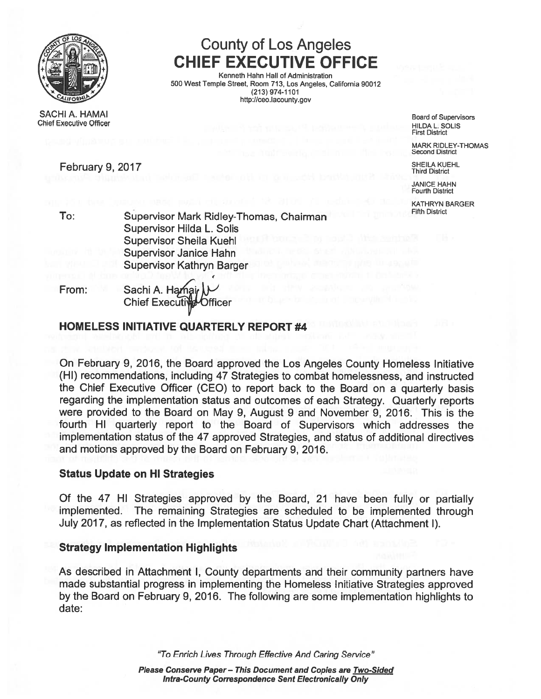

SACHI A. HAMAI Board of Supervisors Chief Executive Officer HILDA L. SOLIS<br>Chief Executive Officer HILDA L. SOLIS

# County of Los Angeles CHIEF EXECUTIVE OFFICE

I Kenneth Hahn Hall of Administration 500 West Temple Street, Room 713, Los Angeles, California 90012 (213) 974-1101 http://ceo.lacounty.gov

First District

MARK RIDLEY-THOMAS Second District

February 9, 2017 **SHEILA KUEHL** ELIRENCE SHEILA KUEHL ELIREN ELIREN ELIREN ELIREN ELIREN ELIREN ELIREN ELIREN ELI

JANICE HAHN Fourth District

KATHRYN BARGER

To: Supervisor Mark Ridley-Thomas, Chairman Supervisor Hilda L. Solis Supervisor Sheila Kuehl Supervisor Janice Hahn Supervisor Kathryn Barger

From: Sachi A. Hamair Chief Executive Officer

## HOMELESS INITIATIVE QUARTERLY REPORT #4

On February 9, 2016, the Board approved the Los Angeles County Homeless Initiative (HI) recommendations, including 47 Strategies to combat homelessness, and instructed the Chief Executive Officer (CEO) to repor<sup>t</sup> back to the Board on <sup>a</sup> quarterly basis regarding the implementation status and outcomes of each Strategy. Quarterly reports were provided to the Board on May 9, August 9 and November 9, 2016. This is the fourth HI quarterly repor<sup>t</sup> to the Board of Supervisors which addresses the implementation status of the 47 approved Strategies, and status of additional directives and motions approved by the Board on February 9, 2016.

### Status Update on HI Strategies

Of the <sup>47</sup> HI Strategies approve<sup>d</sup> by the Board, <sup>21</sup> have been fully or partially implemented. The remaining Strategies are scheduled to be implemented through July 2017, as reflected in the Implementation Status Update Chart (Attachment I).

### Strategy Implementation Highlights

As described in Attachment I, County departments and their community partners have made substantial progress in implementing the Homeless Initiative Strategies approved by the Board on February 9, 2016. The following are some implementation highlights to date:

"To Enrich Lives Through Effective And Caring Service"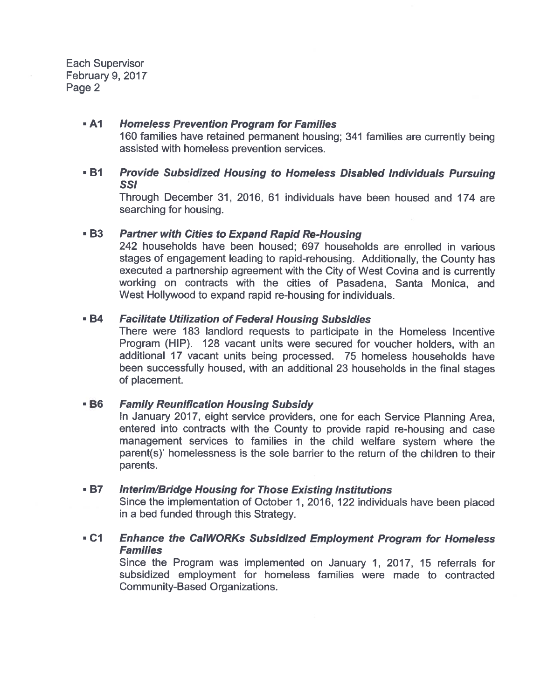#### $-A1$ Homeless Prevention Program for Families

160 families have retained permanen<sup>t</sup> housing; <sup>341</sup> families are currently being assisted with homeless prevention services.

• B1 BI Provide Subsidized Housing to Homeless Disabled Individuals Pursuing 551

Through December 31, 2016, 61 individuals have been housed and 174 are searching for housing.

#### • B3Partner with Cities to Expand Rapid Re-Housing

242 households have been housed; 697 households are enrolled in various stages of engagemen<sup>t</sup> leading to rapid-rehousing. Additionally, the County has executed a partnership agreemen<sup>t</sup> with the City of West Covina and is currently working on contracts with the cities of Pasadena, Santa Monica, and West Hollywood to expand rapid re-housing for individuals.

#### • B4Facilitate Utilization of Federal Housing Subsidies

There were 183 landlord requests to participate in the Homeless Incentive Program (HIP). 128 vacant units were secured for voucher holders, with an additional 17 vacant units being processed. 75 homeless households have been successfully housed, with an additional 23 households in the final stages of placement.

#### • B6Family Reunification Housing Subsidy

In January 2017, eight service providers, one for each Service Planning Area, entered into contracts with the County to provide rapid re-housing and case managemen<sup>t</sup> services to families in the child welfare system where the parent(s)' homelessness is the sole barrier to the return of the children to their parents.

#### • B7Interim/Bridge Housing for Those Existing Institutions

Since the implementation of October 1, 2016, <sup>122</sup> individuals have been <sup>p</sup>laced in <sup>a</sup> bed funded through this Strategy.

### • C1 Cl Enhance the CalWORKs Subsidized Employment Program for Homeless **Families**

Since the Program was implemented on January 1, 2017, 15 referrals for subsidized employment for homeless families were made to contracted Community-Based Organizations.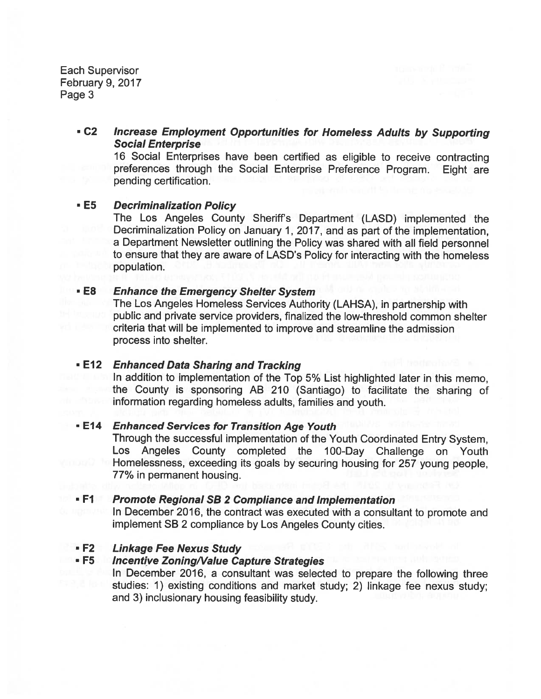### C2 Increase Employment Opportunities for Homeless Adults by Supporting Social Enterprise

<sup>16</sup> Social Enterprises have been certified as eligible to receive contracting preferences through the Social Enterprise Preference Program. Eight are pending certification.

#### • E5 **Decriminalization Policy**

The Los Angeles County Sheriffs Department (LASD) implemented the Decriminalization Policy on January 1, 2017, and as par<sup>t</sup> of the implementation, <sup>a</sup> Department Newsletter outlining the Policy was shared with all field personne<sup>l</sup> to ensure that they are aware of LASD's Policy for interacting with the homeless population.

#### •**Enhance the Emergency Shelter System**

The Los Angeles Homeless Services Authority (LAHSA), in partnership with public and private service providers, finalized the low-threshold common shelter criteria that will be implemented to improve and streamline the admission process into shelter.

### • E12 *Enhanced Data Sharing and Tracking*

In addition to implementation of the Top 5% List highlighted later in this memo, the County is sponsoring AB <sup>210</sup> (Santiago) to facilitate the sharing of information regarding homeless adults, families and youth.

### **- E14** Enhanced Services for Transition Age Youth

Through the successful implementation of the Youth Coordinated Entry System, Los Angeles County completed the 100-Day Challenge on Youth Homelessness, exceeding its goals by securing housing for <sup>257</sup> young people, 77% in permanen<sup>t</sup> housing.

#### • F1 **Promote Regional SB 2 Compliance and Implementation**

In December 2016, the contract was executed with <sup>a</sup> consultant to promote and implement SB <sup>2</sup> compliance by Los Angeles County cities.

#### • F2 **Linkage Fee Nexus Study**

### **- F5** Incentive Zoning/Value Capture Strategies

In December 2016, a consultant was selected to prepare the following three studies: 1) existing conditions and market study; 2) linkage fee nexus study; and 3) inclusionary housing feasibility study.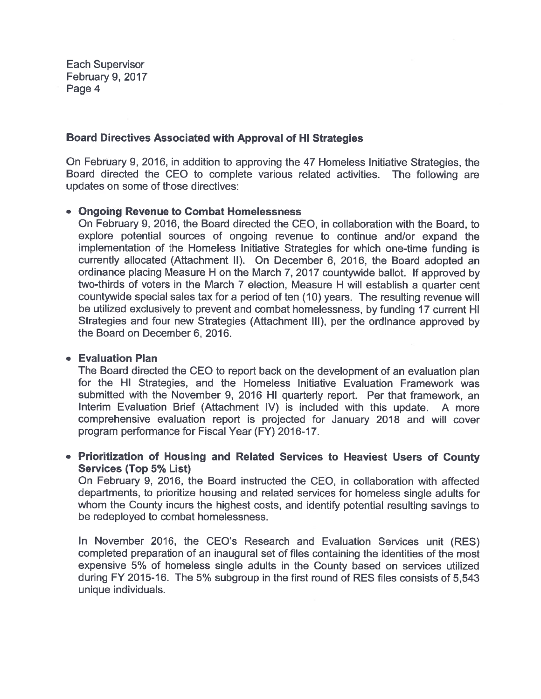### Board Directives Associated with Approval of HI Strategies

On February 9, 2016, in addition to approving the 47 Homeless Initiative Strategies, the Board directed the CEO to complete various related activities. The following are updates on some of those directives:

### • Ongoing Revenue to Combat Homelessness

On February 9, 2016, the Board directed the CEO, in collaboration with the Board, to explore potential sources of ongoing revenue to continue and/or expand the implementation of the Homeless Initiative Strategies for which one-time funding is currently allocated (Attachment II). On December 6, 2016, the Board adopted an ordinance <sup>p</sup>lacing Measure <sup>H</sup> on the March 7, 2017 countywide ballot. If approved by two-thirds of voters in the March 7 election, Measure <sup>H</sup> will establish <sup>a</sup> quarter cent countywide special sales tax for <sup>a</sup> period of ten (10) years. The resulting revenue will be utilized exclusively to prevent and combat homelessness, by funding 17 current H Strategies and four new Strategies (Attachment Ill), per the ordinance approve<sup>d</sup> by the Board on December 6, 2016.

### • Evaluation Plan

The Board directed the CEO to repor<sup>t</sup> back on the development of an evaluation plan for the HI Strategies, and the Homeless Initiative Evaluation Framework was submitted with the November 9, 2016 HI quarterly report. Per that framework, an Interim Evaluation Brief (Attachment IV) is included with this update. <sup>A</sup> more comprehensive evaluation repor<sup>t</sup> is projected for January 2018 and will cover program performance for Fiscal Year (FY) 2016-17.

### • Prioritization of Housing and Related Services to Heaviest Users of County Services (Top 5% List)

On February 9, 2016, the Board instructed the CEO, in collaboration with affected departments, to prioritize housing and related services for homeless single adults for whom the County incurs the highest costs, and identify potential resulting savings to be redeployed to combat homelessness.

In November 2016, the CEO's Research and Evaluation Services unit (RES) completed preparation of an inaugural set of files containing the identities of the most expensive 5% of homeless single adults in the County based on services utilized during FY 2015-16. The 5% subgroup in the first round of RES files consists of 5,543 unique individuals.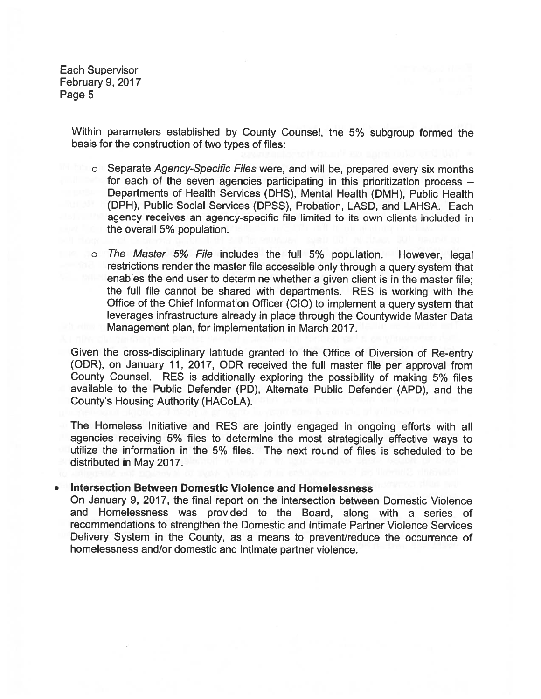> Within parameters established by County Counsel, the 5% subgroup formed the basis for the construction of two types of files:

- <sup>o</sup> Separate Agency-Specific Files were, and will be, prepare<sup>d</sup> every six months for each of the seven agencies participating in this prioritization process — Departments of Health Services (DHS), Mental Health (DMH), Public Health (DPH), Public Social Services (DPSS), Probation, LASD, and LAHSA. Each agency receives an agency-specific file limited to its own clients included in the overall 5% population.
- <sup>o</sup> The Master 5% File includes the full 5% population. However, legal restrictions render the master file accessible only through <sup>a</sup> query system that enables the end user to determine whether <sup>a</sup> <sup>g</sup>iven client is in the master file; the full file cannot be shared with departments. RES is working with the Office of the Chief Information Officer (ClO) to implement <sup>a</sup> query system that leverages infrastructure already in <sup>p</sup>lace through the Countywide Master Data Management plan, for implementation in March 2017.

Given the cross-disciplinary latitude granted to the Office of Diversion of Re-entry (ODR), on January 11, 2017, ODR received the full master file per approva<sup>l</sup> from County Counsel. RES is additionally exploring the possibility of making 5% files available to the Public Defender (PD), Alternate Public Defender (APD), and the County's Housing Authority (HAC0LA).

The Homeless Initiative and RES are jointly engaged in ongoing efforts with all agencies receiving 5% files to determine the most strategically effective ways to utilize the information in the 5% files. The next round of files is scheduled to be distributed in May2017.

#### •Intersection Between Domestic Violence and Homelessness

On January 9, 2017, the final repor<sup>t</sup> on the intersection between Domestic Violence and Homelessness was provided to the Board, along with <sup>a</sup> series of recommendations to strengthen the Domestic and Intimate Partner Violence Services Delivery System in the County, as <sup>a</sup> means to prevent/reduce the occurrence of homelessness and/or domestic and intimate partner violence.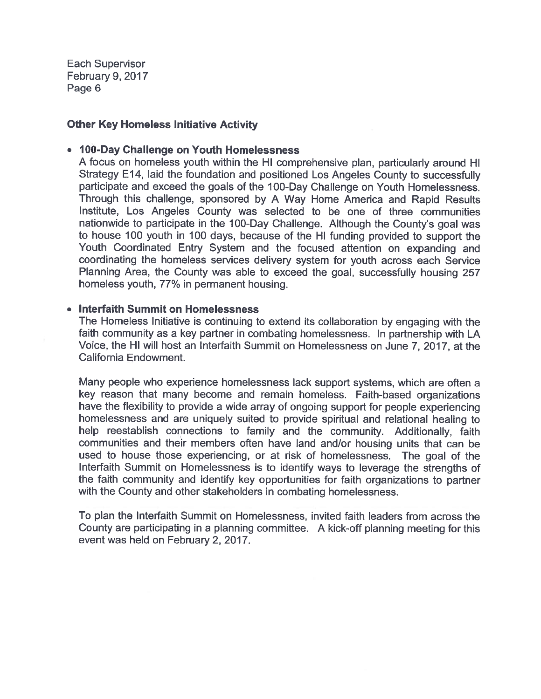### Other Key Homeless Initiative Activity

### • 100-Day Challenge on Youth Homelessness

A focus on homeless youth within the HI comprehensive <sup>p</sup>lan, particularly around HI Strategy E14, laid the foundation and positioned Los Angeles County to successfully participate and exceed the goals of the 100-Day Challenge on Youth Homelessness. Through this challenge, sponsore<sup>d</sup> by <sup>A</sup> Way Home America and Rapid Results Institute, Los Angeles County was selected to be one of three communities nationwide to participate in the 100-Day Challenge. Although the County's goa<sup>l</sup> was to house 100 youth in <sup>100</sup> days, because of the HI funding provided to suppor<sup>t</sup> the Youth Coordinated Entry System and the focused attention on expanding and coordinating the homeless services delivery system for youth across each Service Planning Area, the County was able to exceed the goal, successfully housing <sup>257</sup> homeless youth, 77% in permanen<sup>t</sup> housing.

### • Interfaith Summit on Homelessness

The Homeless Initiative is continuing to extend its collaboration by engaging with the faith community as <sup>a</sup> key partner in combating homelessness. In partnership with LA Voice, the HI will host an Interfaith Summit on Homelessness on June 7, 2017, at the California Endowment.

Many people who experience homelessness lack suppor<sup>t</sup> systems, which are often <sup>a</sup> key reason that many become and remain homeless. Faith-based organizations have the flexibility to provide <sup>a</sup> wide array of ongoing suppor<sup>t</sup> for people experiencing homelessness and are uniquely suited to provide spiritual and relational healing to help reestablish connections to family and the community. Additionally, faith communities and their members often have land and/or housing units that can be used to house those experiencing, or at risk of homelessness. The goa<sup>l</sup> of the Interfaith Summit on Homelessness is to identify ways to leverage the strengths of the faith community and identify key opportunities for faith organizations to partner with the County and other stakeholders in combating homelessness.

To plan the Interfaith Summit on Homelessness, invited faith leaders from across the County are participating in <sup>a</sup> <sup>p</sup>lanning committee. <sup>A</sup> kick-off <sup>p</sup>lanning meeting for this event was held on February 2, 2017.